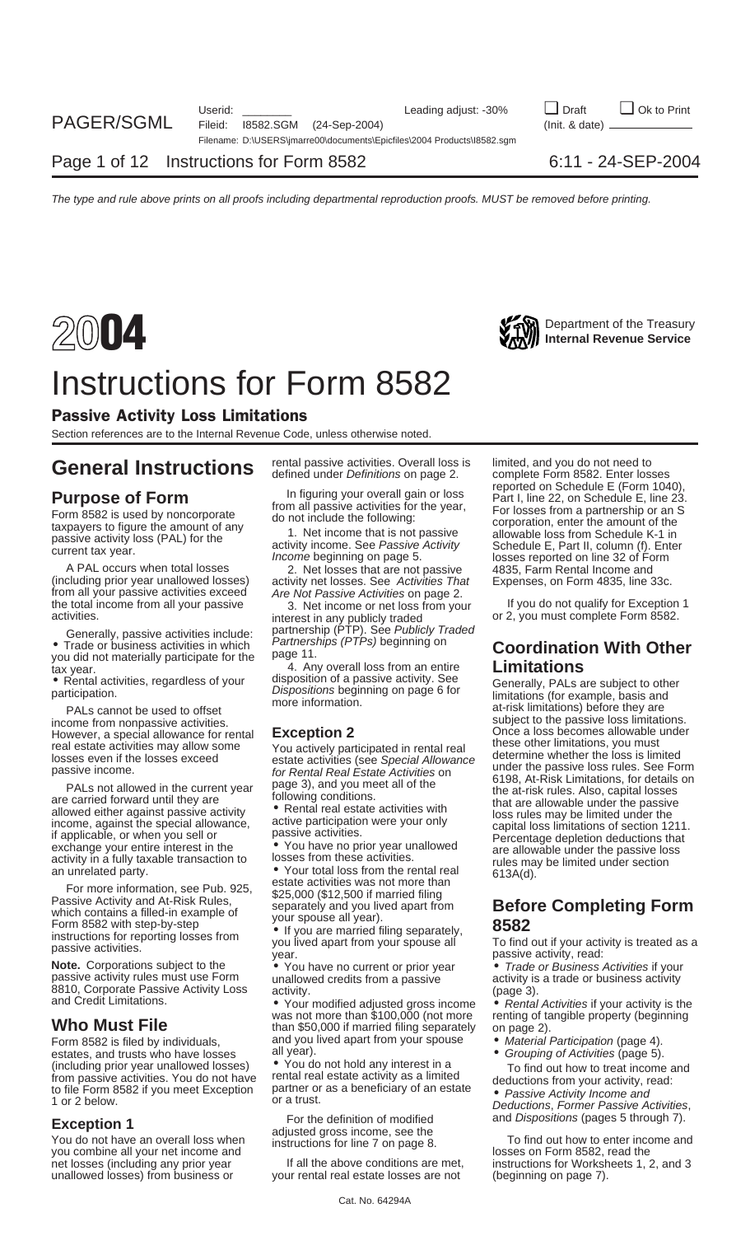

### Instructions for Form 8582

### Passive Activity Loss Limitations

Section references are to the Internal Revenue Code, unless otherwise noted.

(including prior year unallowed losses) activity net losses. See Activities That Expenses, on Form 4835, line 33c.<br>from all your passive activities exceed Are Not Passive Activities on page 2.<br>the total income from all you

Generally, passive activities include: partnership (PTP). See Publicly Traded • Trade or business activities in which *Partnerships (PTPs)* beginning on **Coordination With Other**<br>you did not materially participate for the page 11.<br>4. Any overall loss from an entire **Limitations** 

PALs cannot be used to offset<br>income from nonpassive activities.<br>However, a special allowance for rental  $\overline{)}$  Exception 2<br>However, a special allowance for rental  $\overline{)}$  Exception 2 However, a special allowance for rental **Exception 2** Once a loss becomes allowable<br>real estate activities may allow some vou ortivoly participated in rental real these other limitations, you must

For the information, see Pub. 325, \$25,000 (\$12,500 if married filing<br>
Passive Activity and At-Risk Rules,<br>
which contains a filled-in example of separately and you lived apart from<br>
Form 8582 with step-by-step • If you ar

**Note.** Corporations subject to the  $\bullet$  You have no current or prior year  $\bullet$  Trade or Business Activities if your passive activity rules must use Form unallowed credits from a passive activity is a trade or business act

estates, and trusts who have losses all year).<br>(including prior year unallowed losses) • You do not hold any interest in a (including prior year unallowed losses) • You do not hold any interest in a To find out how to treat income and from passive activities. You do not have rental real estate activity as a limited deductions from your activit from passive activities. You do not have rental real estate activity as a limited<br>to file Form 8582 if you meet Exception partner or as a beneficiary of an estate<br>1 or 2 below. Deductions, Former Passive Activities,

unallowed losses) from business or your rental real estate losses are not (beginning on page 7).

the total income from all your passive activities.<br>activities. or 2, you must complete Form 8582.<br>Generally passive activities include: partnership (PTP). See Publicly Traded

Fraction of the star wear.<br>
Limitations<br>
Fractivities, regardless of your<br>
participation.<br>
PALs cannot be used to offset<br>
PALs cannot be used to offset<br>
PALs cannot be used to offset<br>
PALS cannot be used to offset<br>
PALS ca

and Credit Limitations.<br>
was not more than \$100,000 (not more renting of tangible property (beginning<br> **Who Must File** than \$50,000 if married filing separately on page 2).<br>
Form 8582 is filed by individuals. and you lived Form 8582 is filed by individuals, and you lived apart from your spouse • Material Participation (page 4).<br>
estates, and trusts who have losses all year).

**Exception 1** For the definition of modified and *Dispositions* (pages 5 through 7).<br>You do not have an overall loss when adjusted gross income, see the To find out how to enter income and<br>you combine all your net income a

**General Instructions** rental passive activities. Overall loss is limited, and you do not need to defined under Definitions on page 2. complete Form 8582. Enter losses and you do not need to defined under Definitions on pa **Purpose of Form**<br>
Form 8582 is used by noncorporate<br>
taxpayers to figure the amount of any<br>
passive activity loss (PAL) for the<br>
current tax year.<br>
A PAL occurs when total losses<br>
taxpayers to figure the amount of any<br>
pa

Fractional estate activities may allow some<br>
real estate activities may allow some<br>
passive income.<br>
PALs not allows one<br>
PALs not allows in the current year<br>
passive activities (see Special Allowance<br>
The current year<br>
on

instructions for reporting losses from you lived apart from your spouse all To find out if your activity is treated as a<br>
passive activities.<br> **Note.** Corporations subject to the  $\bullet$  You have no current or prior vear  $\bullet$ 

- 
- 

net losses (including any prior year instructions for Worksheets 1, 2, and 3 If all the above conditions are met, instructions for Worksheets 1, 2, and 3 If all the above conditions are met, instructions for Worksheets 1,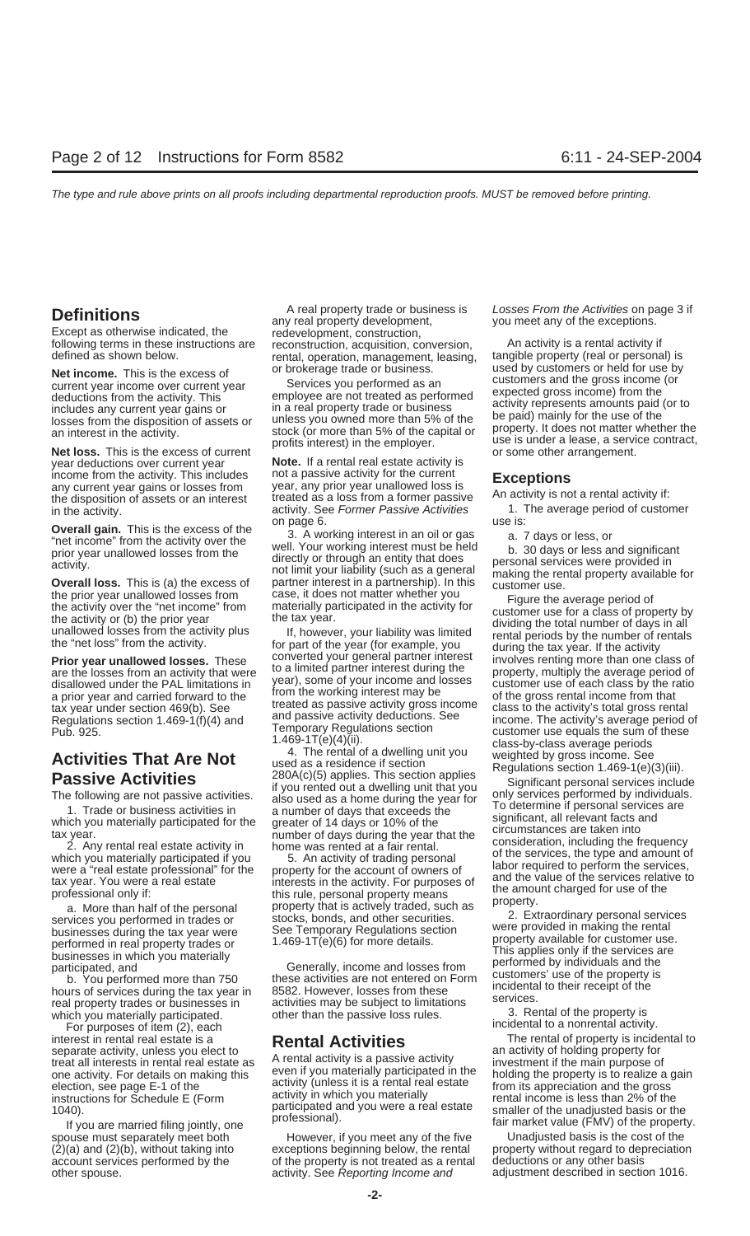**Net loss.** This is the excess of current<br>year deductions over current year **Note.** If a rental real estate activity is<br>income from the activity. This includes not a passive activity for the current

real property trades or businesses in activities may be subject to limitations betwices.<br>which you materially participated. other than the passive loss rules. 3. Rental of the property is<br>For purposes of item (2) each

For purposes of item (2), each interest in rental real estate is a interest in rental real estate is a **Rental Activities** The rental of property is incidental to separate activity, unless you elect to **Rental activities** an activity of holding property for

**Definitions**<br> **Definitions**<br>
Except as otherwise indicated, the direction are redevelopment, construction,<br>
following terms in these instructions are reconstruction, acquisition, conversion, An activity is a rental activi following terms in these instructions are econstruction, acquisition, conversion, and activity is a rental activity if<br>defined as shown below. This is the susses of or brokerage trade or business. Used by customers or held

income from the activity. This includes not a passive activity for the current<br>any current year gains or losses from year, any prior year unallowed loss is<br>the disposition of assets or an interest treated as a loss from a in the activity. **activity.** activity. See Former Passive Activities 1. The activity of customer period of customer of customer period on page 6.

**Overall gain.** This is the excess of the<br>
"net income" from the activity over the<br>
prior year unallowed losses from the<br>
activity.<br> **Overall loss.** This is (a) the excess of<br>
the excess of partner interest in a partnershi

Activities That Are Not<br>
<sup>4.</sup> The rental of a dwelling unit you weighted by gross income. See<br>
Passive Activities <sup>280A(c)(5)</sup> applies. This section applies Significant personal services inclue

spouse must separately meet both However, if you meet any of the five Unadjusted basis is the cost of the<br>(2)(a) and (2)(b), without taking into exceptions beginning below, the rental property without regard to depreciatio exceptions beginning below, the rental property without regard to depreciation<br>of the property is not treated as a rental deductions or any other basis account services performed by the of the property is not treated as a rental other spouse. activity. See Reporting Income and adjustment described in section 1016.

Net income. This is the excess of the correct of the correct year income over current year the activity. This<br>
deductions from the activity. This employee are not treated as performed as an deductions from the activity. Th

the prior year unallowed losses from case, it does not matter whether you<br>the activity or the "net income" from materially participated in the activity for the average period of<br>the activity or the "net income" trom the r

**Passive Activities**<br>
The following are not passive activities.<br>
The following are not passive activities.<br>
If you rented out a dwelling unit that you<br>
also used as a home during the year for the significant personal servi

See Temporary Regulations section<br>
businesses during the tax year were the set of the section<br>
performed in real property trades or<br>
businesses in which you materially<br>
participated, and<br>
b. You performed more than 750<br>
ho

separate activity, unless you elect to<br>treat all interests in rental real estate as<br>one activity. For details on making this<br>election, see page E-1 of the<br>instructions for Schedule E (Form<br>instructions for Schedule E (Form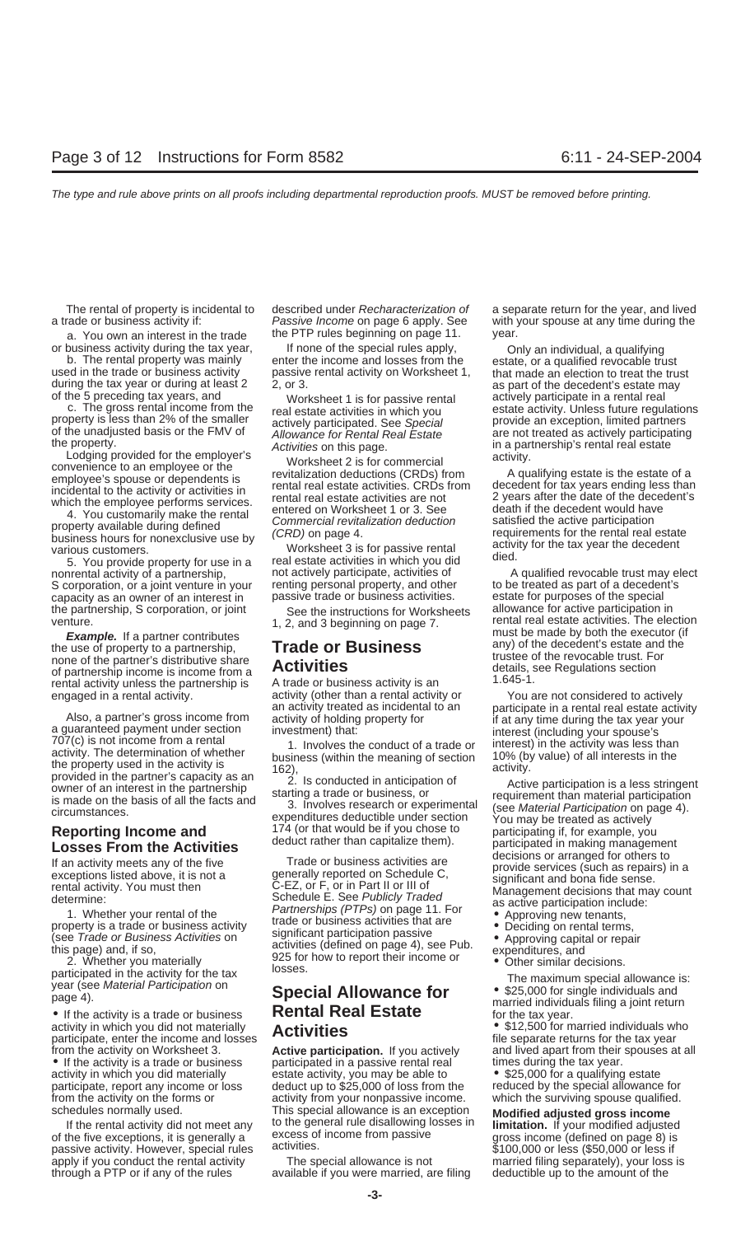a trade or business activity if: *Passive Income* on page 6 apply. See with your spouse at any time during the

5. You provide property for use in a real estate activities in which you did<br>nonrental activity of a partnership, and actively participate, activities of a qualified revocable trust may elect<br>S corporation, or a joint vent S corporation, or a joint venture in your capacity as an owner of an interest in passive trade or business activities. estate for purposes of the special the partnership, S corporation, or joint See the instructions for Worksheets allowance for active participation in<br>See the instructions for Worksheets allowance for active participation in<br>rental real estate activities. Th

of partnership income is income from a<br>
rental activity unless the partnership is A trade or business activity is an 1.645-1.<br>
engaged in a rental activity. activity (other than a rental activity or You a

engaged in a rental activity.<br>
Also, a partner's gross income from<br>
a guaranteed payment under section<br>
a guaranteed payment under section<br>
a guaranteed payment under section<br>
TO7(c) is not income from a rental<br>
activity.

activity in which you did not materially **Activities Activities 12,500** for married individuals who participate, enter the income and losses **Activities 12,500** for married individuals who file separate returns for t from the activity on Worksheet 3. **Active participation.** If you actively and lived apart from their spouses at all • If the activity is a trade or business participated in a passive rental real times during the tax year.<br>activity in which you did materially estate activity, you may be able to • \$25,000 for a qualifying estate participate, report any income or loss deduct up to \$25,000 of loss from the from the activity on the forms or activity from your nonpassive income. which the surviving spouse qualified.

passive activity. However, special rules activities.<br>
apply if you conduct the rental activity The special allowance is not married filing separately), your loss is

a. You own an interest in the trade the PTP rules beginning on page 11. year.

or business activity during the tax year, If none of the special rules apply, Dolly an individual, a qualifying<br>b. The rental property was mainly enter the income and losses from the used in the trade or business activity<br>

**Reporting Income and**<br> **Losses From the Activities**<br> **Losses From the Activities**<br>
the five deduct rather than capitalize them).<br>
Losses From the Activities<br>
exceptions listed above, it is not<br>
exceptions listed above, it

estate activity, you may be able to **•** \$25,000 for a qualifying estate deduct up to \$25,000 of loss from the **•** reduced by the special allowance for schedules normally used. This special allowance is an exception<br>If the rental activity did not meet any to the general rule disallowing losses in<br>of the five exceptions, it is generally a excess of income from passive<br>pass

through a PTP or if any of the rules available if you were married, are filing deductible up to the amount of the

The rental of property is incidental to described under Recharacterization of a separate return for the year, and lived

during the tax year or during at least 2 2, or 3.<br>
of the 5 preceding tax years, and of the decedent seate at a worksheet 1 is for passive rental at every participate in a rental real estate activities in which you<br>
proper

verture. 1, 2, and 3 beginning on page 7.<br>The election must be made by both the executor (if Example. If a partner contributes<br>the use of property to a partnership,<br>none of the partner's distributive share<br>of partnership income is income from a<br>of partnership income is income from a<br>details, see Regulations sectio

- 
- 
- 
- 
- 

**• PECTED ATTOMATICE TOP**<br>• If the activity is a trade or business **Rental Real Estate** for the tax year.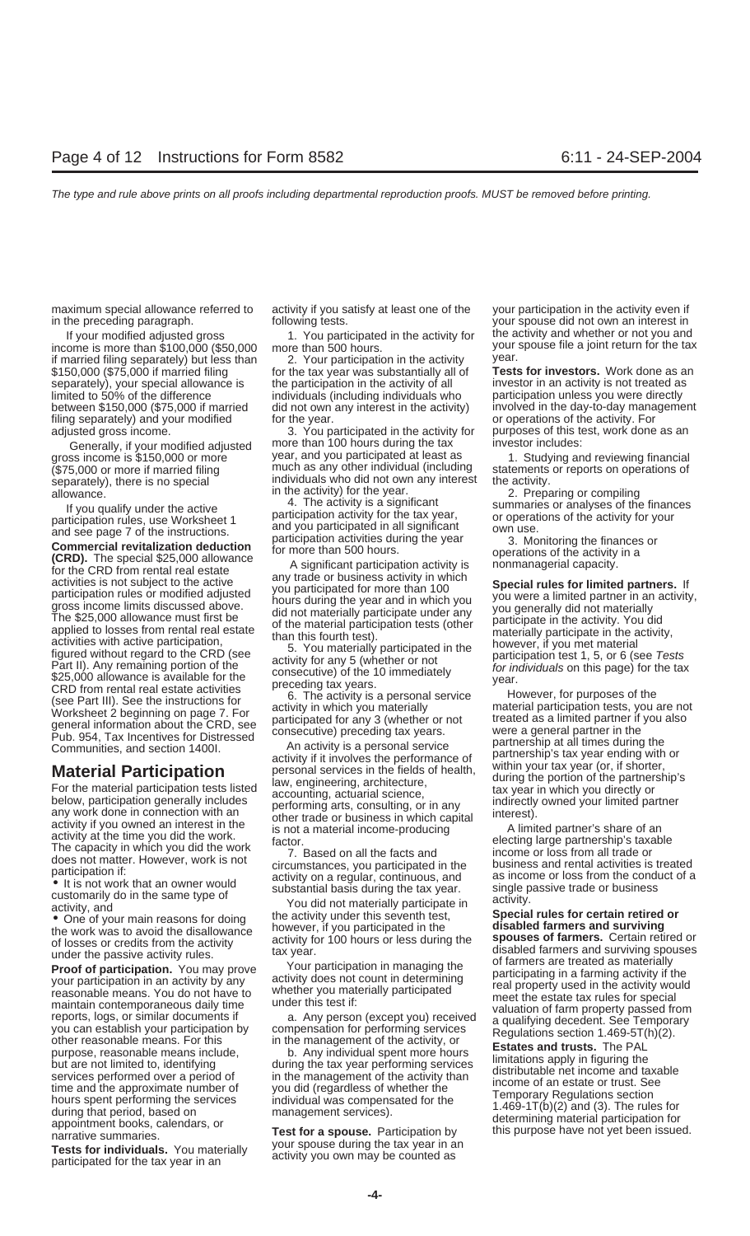maximum special allowance referred to activity if you satisfy at least one of the your participation in the activity even if in the preceding paragraph. following tests. your spouse did not own an interest in

if married filing separately) but less than 2. Your participation in the activity year.<br>\$150,000 (\$75,000 if married filing for the tax year was substantially all of **Tests for investors.** Work done as an separately), your special allowance is the participation in the activity of all investor in an activity is not treated as between \$150,000 (\$75,000 if married did not own any interest in the activity) filing separately) and your modified for the year. The separations of the activity. For

allowing in the active particle in the probability from the particle in the probability of the method of the particle in the particle in the particle in the state particle in the particle in the particle in the particle i

for the tax year was substantially all of

adjusted gross income. 3. You participated in the activity for purposes of this test, work done as an Generally, if your modified adjusted more than 100 hours during the tax investor includes:<br>ss income is \$150,000 or more year, and you participated at least as 1 Studying an gross income is \$150,000 or more year, and you participated at least as for all soluting and reviewing financial<br>\$155,000 or more if married filing fillum much as any other individual (including statements or reports on op (\$75,000 or more if married filing much as any other individual (including statements or reports on operations of separately), there is no special individuals who did not own any interest the activity.<br>allowance in the act

If your modified adjusted gross 1. You participated in the activity for the activity and whether or not you and income is more than \$100,000 (\$50,000 more than 500 hours. your spouse file a joint return for the tax if married filing separately) but less than 2 Your participation in the activity year.

limited to 50% of the difference individuals (including individuals who participation unless you were directly<br>between \$150,000 (\$75,000 if married did not own any interest in the activity) involved in the day-to-day manag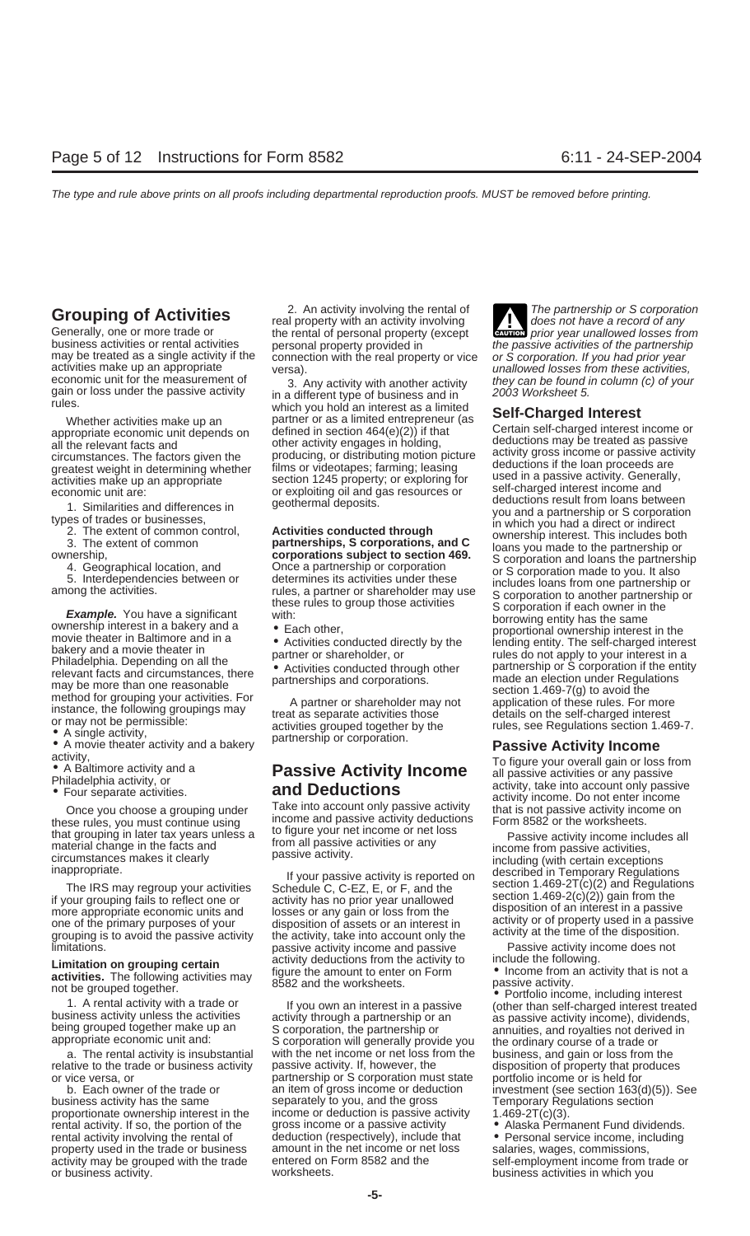these rules, you must continue using income and passive activity deductions<br>that grouping in later tax years unless a to figure your net income or net loss

more appropriate economic units and<br>one of the primary purposes of your<br>grouping is to avoid the passive activity the activity, take into account only the activity at the time of the disposition.

relative to the trade or business activity cassive activity. If, however, the disposition of property that produces

property used in the trade or business amount in the net income or ne<br>activity may be grouped with the trade entered on Form 8582 and the

**Grouping of Activities**<br>
Generally, one or more trade or the rental of personal property with an activity involving<br>
Later and the partnership or S corporation<br>
business activities or rental activities<br>
the passive activi business activities or rental activities personal property provided in the passive activities of the partnership<br>may be treated as a single activity if the connection with the real property or vice or S corporation. If you

economic unit for the measurement of a. Any activity with another activity they can be found in column (c) of your gain or loss under the passive activity in a different type of business and in which you hold an interest a Whether activities make up an partner or as a limited entrepreneur (as appropriate economic unit depends on defined in section  $464(e)(2)$ ) if that Certain self-charged interest income or all the relevant facts and other ac

grouping is to avoid the passive activity the activity, take into account only the different activity at the unle of the disposition<br>limitations.<br>I imitation on grouping ortain activity deductions from the activity to incl

propriate economic unit and:<br>
a. The rental activity is insubstantial business are business, and gain or loss from the<br>
ative to the trade or business activity passive activity. If, however, the disposition of property tha or vice versa, or partnership or S corporation must state portfolio income or is held for partnership or S corporation must state portfolio income or is held for b. Each owner of the trade or an item of gross income or ded business activity has the same separately to you, and the gross Temporary Regulations section proportionate ownership interest in the income or deduction is passive activity 1.469-2T(c)(3). income or deduction is passive activity. rental activity. If so, the portion of the gross income or a passive activity • Alaska Permanent Fund dividends. rental activity involving the rental of deduction (respectively), include that • Personal service income, including property used in the trade or business amount in the net income or net loss salaries, wages, commissions, activity may be grouped with the trade entered on Form 8582 and the self-employment income from trade or<br>or business activity our entered on Form 8582 and the self-employment income from trade or or business activity. business activities in which you worksheets.

**ENTION** prior year unallowed losses from

circumstances. The factors given the production<br>consisting model in the production of predictions of the same of productions of the bean proceeds are<br>greatest weight in determining whether illims or videotapes; farming: l

Once you choose a grouping under<br>Once you choose a grouping under<br>See rules, you must continue using income and passive activity deductions Form 8582 or the worksheets.

that grouping in later tax years unless a<br>material change in the facts and<br>circumstances makes it clearly<br>inappropriate. If your passive activity is reported on<br>the IRS may regroup your activities<br>if your grouping fails to

**Limitation on grouping certain**<br> **activities.** The following activities may<br>
not be grouped together.<br>
1. A rental activity with a trade or<br>
business activity unless the activities<br>
business activity unless the activities an item of gross income or deduction investment (see section  $163(d)(5)$ ). See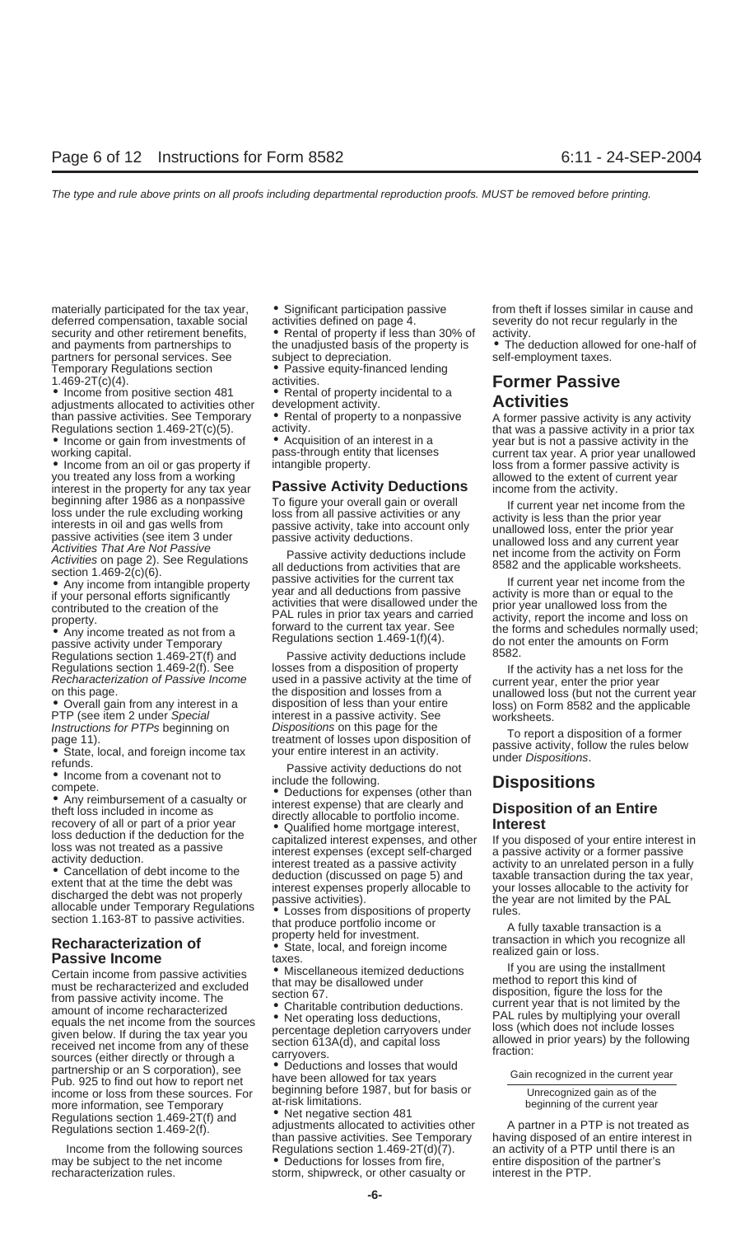deferred compensation, taxable social activities defined on page 4. Severity do not recur regularly in the security and other retirement benefits, <br>and payments from partnerships to the unadjusted basis of the property is • The c partners for personal services. See Temporary Regulations section • Passive equity-financed lending<br>1.469-2T(c)(4).

adjustments allocated to activities other development activity.<br>
than passive activities. See Temporary **•** Rental of property to a nonpassive

you treated any loss from a working allowed to the extent of current year interest in the property for any tax year **Passive Activity Deductions** income from the activity. beginning after 1986 as a nonpassive To figure your overall gain or overall<br>
loss under the rule excluding working<br>
interests in oil and gas wells from passive activity, take into account only<br>
passive activities are prior

passive activity under Temporary Regulations section 1.469-1(f)(4). do not enter the amount of amounts on the amounts of an amount of an amount of the amounts of the amounts of the amounts of the amounts of the amounts of Regulations section  $1.469-2T(f)$  and Passive activity deductions include

• Income from a covenant not to<br>
• Any reimbursement of a casualty or<br>
the bosis included in income as<br>
the diversity allocable to portfolio income.<br>
The covery of all or part of a prior year<br> **Calified home mortgage inter** 

From passive activity income. The<br>
equals the net income recharacterized<br>
equals the net income from the sources<br>
and the come from the sources<br>
equals the net income from the sources<br>
equals the net income from the source Pub. 925 to find out how to report net<br>income or loss from these sources. For beginning before 1987, but for basis or Unrecognized gain as of the<br>more information see Temporary at-risk limitations. more information, see Temporary at-risk limitations.<br>Requisitions section 1 469-2T(f) and <br>**e** Net negative section 481 Regulations section  $1.469-2T(f)$  and

may be subject to the net income • Deductions for losses from fire, entire disposition of the partner's recharacterization rules.<br>
recharacterization rules. Storm, shipwreck, or other casualty or interest in the PTP.

- 
- 

the unad justed basis of the property is • The deduction allowed for one-half of subject to depreciation.

section 1.469-2(c)(6).<br>
• Any income from intangible property passive activities for the current tax If current year net income from the<br>
Form income from intangible property passive activities for the current tax<br>
If cur if your personal efforts significantly year and all deductions from passive activity is more than or equal to the<br>contributed to the creation of the activities that were disallowed under the prior year unallowed loss from contributed to the creation of the activities that were disallowed under the prior year unallowed loss from the<br>contributed to the creation of the PAL rules in prior tax years and carried activity, report the income and lo property. PAL rules in prior tax years and carried<br>property. The income activity of the income and loss on the income and loss on the income and loss on the income and loss on the income and loss on the income and loss on

Regulations section 1.469-2(f). See losses from a disposition of property and the activity has a net loss for the Recharacterization of Passive Income used in a passive activity at the time of current year, enter the prio

Regulations section 1.469-2(f). and adjustments allocated to activities other A partner in a PTP is not treated as<br>Regulations section 1.469-2(f). Than passive activities. See Temporary having disposed of an entire interes than passive activities. See Temporary Income from the following sources Regulations section 1.469-2T(d)(7). an activity of a PTP until there is an

storm, shipwreck, or other casualty or

materially participated for the tax year,  $\bullet$  Significant participation passive from theft if losses similar in cause and

## 1.469-2T(c)(4). **Former Passive**<br>● Income from positive section 481 ● Rental of property incidental to a **Activities**<br>adjustments allocated to activities other development activity.

than passive activities. See Temporary <br>
Regulations section 1.469-2T(c)(5). activity. activity activity activity activity activity activity activity<br>
• Income or gain from investments of • Acquisition of an interest in a ■ Income or gain from investments of ■ Acquisition of an interest in a working capital.<br>working capital. pass-through entity that licenses current tax year. A prior year unallowed<br>■ Income from an oil or gas property if i

• Any income treated as not from a forward to the current tax year. See the forms and schedules normally used;<br>passive activity under Temporary Regulations section 1.469-1(f)(4). The donot enter the amounts on Form

Instructions for PTPs beginning on *Dispositions* on this page for the To report a disposition of a former<br>
page 11). treatment of losses upon disposition of To report a disposition of a former<br>
• State, local, and foreig

loss deduction if the deduction for the<br>
loss deduction for the capitalized interest expenses, and other If you disposed of your entire interest in<br>
activity of a former passive<br>
activity deduction at the term of debt inco

**Passive Income**<br>
Certain income from passive activities **If** you are using the installment<br>
that may be disallowed under the method to report this kind of<br>
the recharacterized and excluded that may be disallowed under<br>
th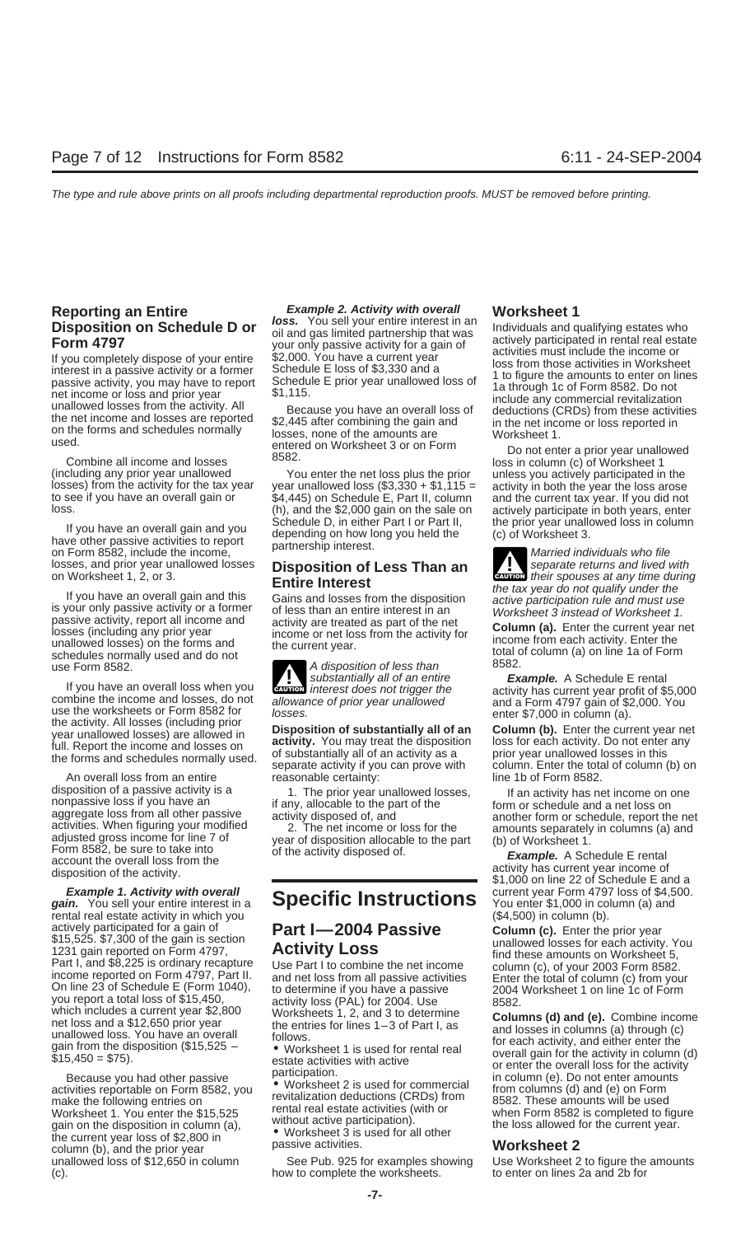# **Reporting an Entire** Example 2. Activity with overall Worksheet 1<br>**Disposition on Schodule D.or** loss. You sell your entire interest in an undividual and a

losses, and prior year unallowed losses **Disposition of Less Than an** separate returns and lived with on Worksheet 1, 2, or 3. on Yom Book, molded the moone,<br>losses, and prior year unallowed losses **Disposition of Less Than an** *Separate returns and lived with*<br>on Worksheet 1, 2, or 3.

If you have an overall gain and this<br>
is your only passive activity or a former<br>
is your only passive activity or a former<br>
is your only passive activity or a former<br>
passive activity, report all income and<br>
is your only p schedules normally used and do not<br>use Form 8582. <br>aubstantially all of an entire **Example.** A Schedule E rental

If you have an overall loss when you<br>
combine the income and losses, do not allowance of prior year unallowed and a Form 4797 gain of \$2,000. You combine the income and losses, do not<br>use the worksheets or Form 8582 for<br>the activity. All losses (including prior<br>year unallowed losses) are allowed in<br>full. Report the income and losses on<br>the forms and schedules normal

An overall loss from an entire reasonable certainty: line 1b of Form 8582.<br>disposition of a passive activity is a reasonable certainty: line the server of an activity has ne disposition of a passive activity is a<br>
nonpassive loss if you have an<br>
aggregate loss from all other passive<br>
activities. When figuring your modified<br>
activities. When figuring your modified<br>
activity disposed of, and<br>
ac

**gain.** You sell your entire interest in a **Specific Instructions** rental real estate activity in which you<br>actively participated for a gain of **Part 1-2004 Passive Column (c).** Enter the actively participated for a gain of<br>
1231 gain reported on Form 4797,<br>
1231 gain reported on Form 4797,<br>
1231 gain reported on Form 4797, **Activity Loss**<br>
1231 gain reported on Form 4797, Part I to combine the net income<br>

make the following entries on<br>
Worksheet 1. You enter the \$15,525<br>
make the following entries on<br>
Worksheet 1. You enter the \$15,525<br>
make the following entries on<br>
without active participation).<br>
without active participat gain of the disposition in column (d),<br>the current year loss of \$2,800 in<br>column (b), and the prior year passive activities.<br>unallowed loss of \$12,650 in column See Pub. 925 for examples showing Use Worksheet 2 to figure t unallowed loss of \$12,650 in column

If you have an overall gain and you<br>have other passive activities to report depending on how long you held the (c) of Worksheet 3.<br>on Form 8582, include the income, partnership interest.

**Exurers** interest does not trigger the

(c). how to complete the worksheets. to enter on lines 2a and 2b for

**Disposition on Schedule D or**<br> **Disposition on Schedule D or**<br> **Form 4797**<br>
If you completely dispose of your entire<br>
form ansistive activity for a gain of actively participated in rental real estate<br>
If you completely di

**Example 1. Activity with overall Specific Instructions** Current year Form 4797 loss of \$4,500.<br>in. You sell your entire interest in a **Specific Instructions** You enter \$1,000 in column (a) and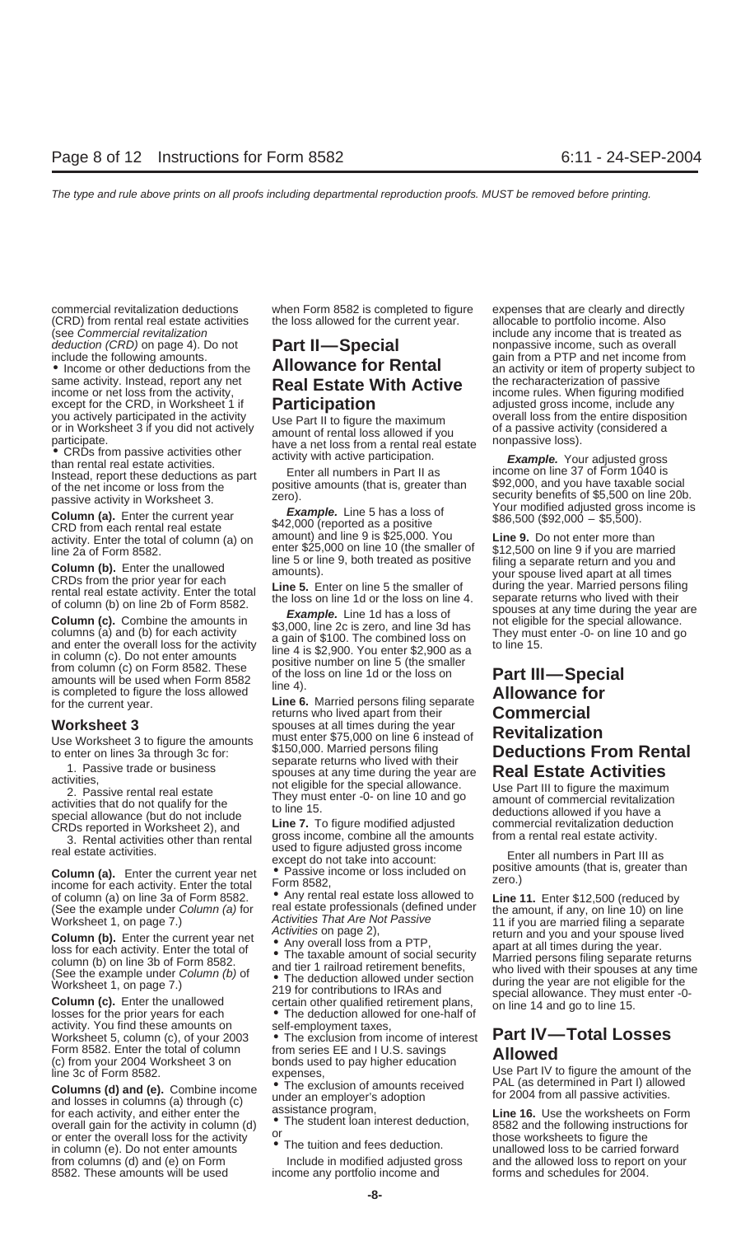(see Commercial revitalization include any include any income that is treated as deduction (CRD) on page 4). Do not **Part II—Special** include any income, such as overall deduction (CRD) on page 4). Do not **Part II—Special** nonpassive income, such as overall include the following amounts.

same activity. Instead, report any net **Real Estate With Active** income or net loss from the activity,<br>income or net loss from the activity, **Participation** except for the CRD, in Worksheet 1 if **Participation** adjusted gr

Enter all numbers in Part II as income on line 37 of Form 1040 is<br>Instead, report these deductions as part and positive amounts (that is, greater than the positive amounts (that is, greater than  $\frac{1040 \text{ is}}{2000}$ , and y

income for each activity. Enter the total Form 8582,<br>of column (a) on line 3a of Form 8582. Any rental real estate loss allowed to<br>(See the example under Column (a) for real estate professionals (defined under the amount,

activity. You find these amounts on self-employment taxes, Worksheet 5, column (c), of your 2003 • The exclusion from income of interest **Part IV—Total Losses**

**Columns (d) and (e).** Combine income<br>
and losses in columns (a) through (c)<br>
for each activity, and either enter the<br>
overall gain for the activity in column (d)<br>
in column (e). Do not enter amounts<br>
assistance program,<br> from columns (d) and (e) on Form Include in modified adjusted gross and the allowed loss to report on your 8582. These amounts will be used income any portfolio income and forms and schedules for 2004.

commercial revitalization deductions when Form 8582 is completed to figure expenses that are clearly and directly (CRD) from rental real estate activities the loss allowed for the current year. allocable to portfolio income. Also

Example. Your adjusted gross income, include any<br>
sexcept for the CRD, in Worksheet 1 if<br>
you actively participated in the activity<br>
or in Worksheet 3 if you did not actively<br>
or in Worksheet 3 if you did not actively<br>
pa

GRD from each rental real estate<br>activity. Enter the total of column (a) on amount) and line 9 is \$25,000. You **Line 9.** Do not enter more than<br>line 2a of Form 8582<br>line 2a of Form 8582

**Line 6.** Married persons filing separate<br>returns who lived apart from their **Commercial Worksheet 3** spouses at all times during the year<br>Lise Worksheet 3 to figure the amounts must enter \$75,000 on line 6 instead of VICKSHIGHT 3<br>Use Worksheet 3 to figure the amounts<br>to enter on lines 3a through 3c for:<br>1. Passive trade or business<br>activities,<br>activities,<br>activities,<br>activities,<br>activities are the special allowance<br>of the special allow activities,<br>
2. Passive rental real estate<br>
activities that do not qualify for the<br>
to line 15.<br>
special allowance (but do not include<br>
the T.F. Commence is that allowed if you have a<br>
special allowance (but do not include

3. Rental activities other than rental gross income, combine all the amounts from a rental real estate activity.<br>
real estate activities.<br> **Column (a).** Enter the current year net <br>
income for each activity. Enter the tota

- 
- 
- 

Form 8582. Enter the total of column from series EE and I U.S. savings **Allowed**<br>
(c) from your 2004 Worksheet 3 on bonds used to pay higher education Use Part IV to<br>
line 3c of Form 8582.

• Income or other deductions from the **Allowance for Rental** an activity or item of property subject to same activity. Instead, report any net **Rental Rental Active** the recharacterization of passive

becausive activity in Worksheet 3.<br>
Desire activity in Worksheet 3.<br>
Column (a). Enter the current year **Example.** Line 5 has a loss of Your modified adjusted gross income is<br>
CRD from each rental real estate \$42,000 (repo

Since 2a of Form 8582.<br>
Since 2a of Form 8582.<br>
CRDs from the prior year for each<br>
CRDs from the prior year for each<br>
CRDs from the prior year for each<br>
cRDs from the prior year for each<br>
cross of the smaller of the smalle

special allowance (but do not include<br>CRDs reported in Worksheet 2), and **Line 7.** To figure modified adjusted commercial revitalization deduction<br>3. Rental activities other than rental gross income, combine all the amount

Worksheet 1, on page 7.) <br> **Column (b).** Enter the current year net<br>
loss for each activity. Enter the current year net<br>
loss for each activity. Enter the total of<br>
column (b) on line 3b of Form 8582.<br>
(See the example un Get the example under Column (b) or<br>Worksheet 1, on page 7.) The deduction allowed under section<br>Column (c). Enter the unallowed certain other qualified retirement plans, special allowance. They must enter -0-<br>losses for t

expenses,<br>■ Use Part IV to figure the amount of the<br>■ The exclusion of amounts received PAL (as determined in Part I) allowed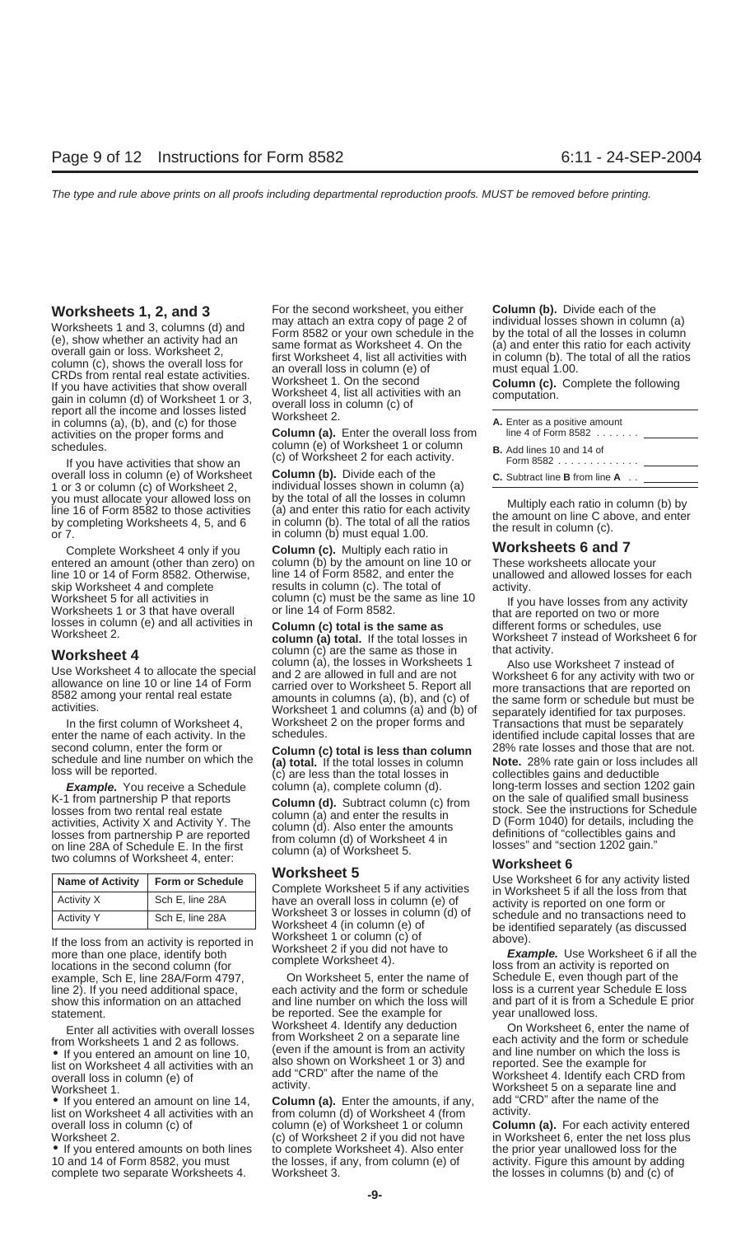overall loss in column (e) of Worksheet **Column (b).** Divide each of the **C.** Subtract line **B** from line **A** . . you must allocate your allowed loss on by the total of all the losses in column Multiply each ratio in column (b) by line 16 of Form 8582 to those activities (a) and enter this ratio for each activity the amount on line C

line 10 or 14 of Form 8582. Otherwise, skip Worksheet 4 and complete results in column (c). The total of activity.<br>Worksheet 5 for all activities in a column (c) must be the same as line 10

Vorksheet 5 and and enter the results in Worksheet 6<br>
Name of Activity Y Form or Schedule<br>
Manne of Activity Form or Schedule<br>
Manne of Activity Form or Schedule<br>
Manne of Activity Form or Schedule<br>
Column (d). Subtract co

| <b>Name of Activity</b> | <b>Form or Schedule</b> |  |
|-------------------------|-------------------------|--|
| Activity X              | Sch E, line 28A         |  |
| <b>Activity Y</b>       | Sch E, line 28A         |  |

locations in the second column (for<br>
example, Sch E, line 28A/Form 4797, On Worksheet 5, enter the name of Schedule E, even though part of the<br>
line 2). If you need additional space. each activity and the form or schedule line 2). If you need additional space, each activity and the form or schedule

• If you entered an amount on line 10, (even if the amount is from an activity and line number on which the loss is  $\frac{1}{10}$  is the which the loss is list on Worksheet 4 all activities with an also shown on Worksheet 1 list on Worksheet 4 all activities with and report on Worksheet 4 or 3) and reported. See the example for the example for  $\frac{1}{2}$  and  $\frac{1}{2}$  after the name of the overall loss in column (e) of add "CRD" after the name of the Worksheet 4. Identify each CRD from<br>Worksheet 5.00.3 separate line and

• If you entered an amount on line 14, **Column (a).** Enter the amounts, if any, add "CI<br>list on Worksheet 4 all activities with an from column (d) of Worksheet 4 (from activity. list on Worksheet 4 all activities with an overall loss in column (c) of column (e) of Worksheet 1 or column **Column (a).** For each activity entered

• If you entered amounts on both lines to complete Worksheet 4). Also enter the prior in the losses, if any, from column (e) of complete two separate Worksheets 4. Worksheet 3. the losses in columns (b) and (c) of

**Worksheets 1, 2, and 3** For the second worksheet, you either **Column (b).** Divide each of the may attach an extra copy of page 2 of individual losses shown in column (a) Worksheets 1 and 3, columns (d) and<br>
(e), show whether an activity had an<br>
(e), show whether an activity had an<br>
overall gain or loss. Worksheet 2,<br>
column (c), shows the overall loss for<br>
form 8582 or your own schedule in

activities on the proper forms and **Column (a).** Enter the overall loss from schedules.<br>column (e) of Worksheet 1 or column nedules. column (e) of Worksheet 1 or column<br>If you have activities that show an (c) of Worksheet 2 for each activity.<br>Form 858 in column (e) of Worksheet **Column (b).** Divide each of the

individual losses shown in column (a)<br>by the total of all the losses in column

Complete Worksheet 4 only if you **Column (c).** Multiply each ratio in **Worksheets 6 and 7** column (b) by the amount on line 10 or These worksheets allocate your<br>line 14 of Form 8582, and enter the unallowed and allowed losses for each

**Worksheet 4**<br>
Use Worksheet 4 to allocate the special<br>
Use Worksheet 4 to allocate the special<br>
Use Worksheet 4 to allocate the special<br>
and 2 are allowed in full and are not<br>
S582 among your rental real estate<br>
activitie INDUSTREET 1 and columns (a) and (b) of separately identified for tax purposes.<br>In the first column of Worksheet 4, Worksheet 2 on the proper forms and Transactions that must be separately<br>identified include capital losses

Complete Worksheet 5 if any activities in Worksheet 5 if all the loss from that have an overall loss in column (e) of activity is reported on one form or Worksheet 3 or losses in column (d) of schedule and no transactions need to<br>Worksheet 4 (in column (e) of be identified separately (as discussed Fractivity is the loss from an activity is reported in<br>If the loss from an activity is reported in<br>If the loss from an activity is reported in<br>If the loss from an activity is reported in<br>In the second column (for<br>In the se

statement.<br> **Enter all ortivities with overall losses.** Worksheet 4. Identify any deduction from Worksheet 2 on a separate line each activity and the form or schedule<br>(even if the amount is from an activity and line number on which the loss is

Worksheet 2. (c) of Worksheet 2 if you did not have in Worksheet 6, enter the net loss plus<br>● If you entered amounts on both lines to complete Worksheet 4). Also enter the prior year unallowed loss for the

| A. Enter as a positive amount<br>line 4 of Form $8582$     |  |
|------------------------------------------------------------|--|
| <b>B.</b> Add lines 10 and 14 of<br>Form 8582 <u>_____</u> |  |

Worksheet 5 for all activities in column (c) must be the same as line 10 If you have losses from any activity<br>Worksheets 1 or 3 that have overall or line 14 of Form 8582.<br>Iosses in column (e) and all activities in **Column** 

enter the name of each activity. In the schedules.<br>Second column, enter the form or **Column (c) total is less than column** 28% rate losses and those that are not. second column, enter the form or **Column (c) total is less than column** 28% rate losses and those that are not.<br>Schedule and line number on which the **(a) total.** If the total losses in column **Note.** 28% rate gain or loss schedule and line number on which the (a) total. If the total losses in column **Note.** 28% rate gain or loss includes all loss will be reported.<br>
In the total losses in collectibles gains and deductible (c) are less than t **Example.** You receive a Schedule column (a), complete column (d). long-term losses and section 1202 gain K-1 from partnership P that reports column (d), Subtract column (c) from on the sale of qualified small business

show this information on an attached and line number on which the loss will and part of it is from a Schedule E prior<br>statement. be reported. See the example for year unallowed loss.

Enter all activities with overall losses Worksheet 4. Identify any deduction On Worksheet 6, enter the name of from Worksheet 2 on a separate line each activity and the form or schedule Worksheet 1. activity.<br>
• If you entered an amount on line 14 Column (a). Foter the amounts if any add "CRD" after the name of the

activity. Figure this amount by adding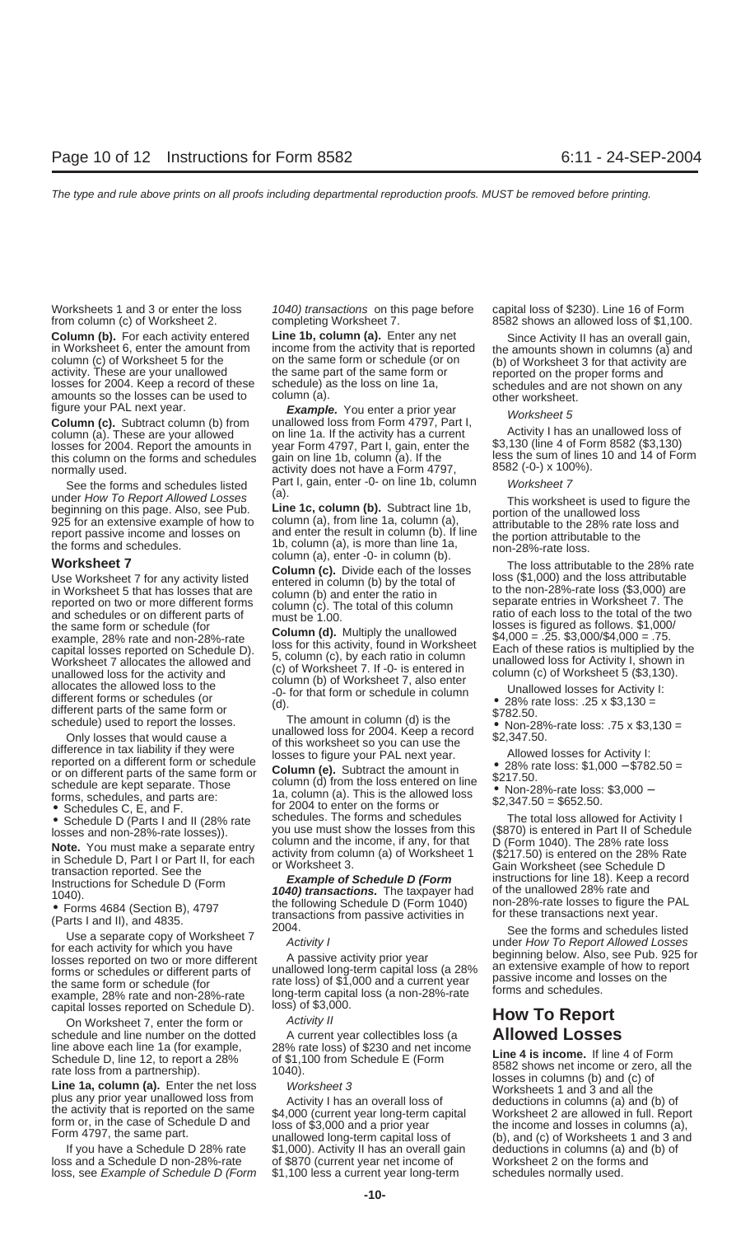**Column (b).** For each activity entered<br>
in Worksheet 6, enter the amount from income from the activity that is reported<br>
column (c) of Worksheet 5 for the<br>
activity. These are your unallowed<br>
losses for 2004. Keep a recor

column (a). These are your allowed on line 1a. If the activity has a current loss of losses for 2004. Report the amounts in year Form 4797, Part I, gain, enter the \$3,130 (line 4 of Form 8582 (\$3,130) this column on the forms and schedules gain on line 1b, column (a). If the less the sum of lines 10 and 14 or Form  $\frac{10}{10}$  and 14 of Form 4797 and 14 or Form ally used normally used.  $\frac{1}{27}$  activity does not have a Form 4797,

under How To Report Allowed Losses<br>beginning on this page. Also, see Pub.<br>25 for an extensive example of how to column (a), from line 1a, column (a), first worksheet is used to figure the<br>285 for an extensive example of ho

Use Worksheet 7 for any activity listed<br>
in entered in column (b) by the total of<br>
in Worksheet 5 that has losses that are column (b) and enter the ratio in<br>
in worksheet 7. The<br>
are reported on two or more different part

example, 28% rate and non-28%-rate long-term capital losses reported on Schedule D). loss) of \$3,000.

Activity II **How To Report**<br>On Worksheet 7, enter the form or *Activity II* **How To Report**<br>A current year collectibles loss (a **Allowed Losses** schedule and line number on the dotted A current year collectibles loss (a **Allowed 20** line above each line 1a (for example, 28% rate loss) of \$230 and net income

loss and a Schedule D non-28%-rate of \$870 (current year net income of Worksheet 2 on the forms and loss, see Example of Schedule D (Form \$1,100 less a current year long-term schedules normally used.

Worksheets 1 and 3 or enter the loss 1040) transactions on this page before capital loss of \$230). Line 16 of Form from column (c) of Worksheet 2. completing Worksheet 7. 8582 shows an allowed loss of \$1,100.

figure your PAL next year.<br> **Column (c).** Subtract column (b) from unallowed loss from Form 4797, Part I,<br>
column (a). These are your allowed on line 1a. If the activity has a current experient of a sam unallowed loss of See the forms and schedules listed Part I, gain, enter -0- on line 1b, column Worksheet 7<br>der Hour Te Benert Alleured Leepen (a).

report passive income and losses on and enter the result in column (b). If line the portion attributable to the<br>the forms and schedules.<br>**Worksheet 7 Column (a)**, enter -0- in column (b).<br>**Column (c)**. Divide each of th

• Schedules C, E, and F. In the 2004 to enter on the forms or<br>• Schedule D (Parts I and II (28% rate schedules. The forms and schedules The total loss allowed for Activity I<br>In the total loss allowed for Activity I sentere

If you have a Schedule D 28% rate \$1,000). Activity II has an overall gain deductions in columns (a) and (b) of

year Form 4797, Part I, gain, enter the  $$3,130$  (line 4 of Form 8582 (\$3,130) gain on line 1b, column (a). If the less the sum of lines 10 and 14 of Form

- 
- 
- 
- 

Use must show the losses from this (\$870) is entered in Part II of Schedule D, Part I or Part II, for each and the income, if any, for that II, for each conservation reported. See the in Schedule D, Part I or Part II, for

line above each line 1a (for example,<br>
Schedule D, line 12, to report a 28% at loss) of \$230 and net income<br>
schedule D, line 12, to report a 28% of \$1,100 from Schedule E (Form<br>
rate loss from a partnership).<br>
Line 1a, co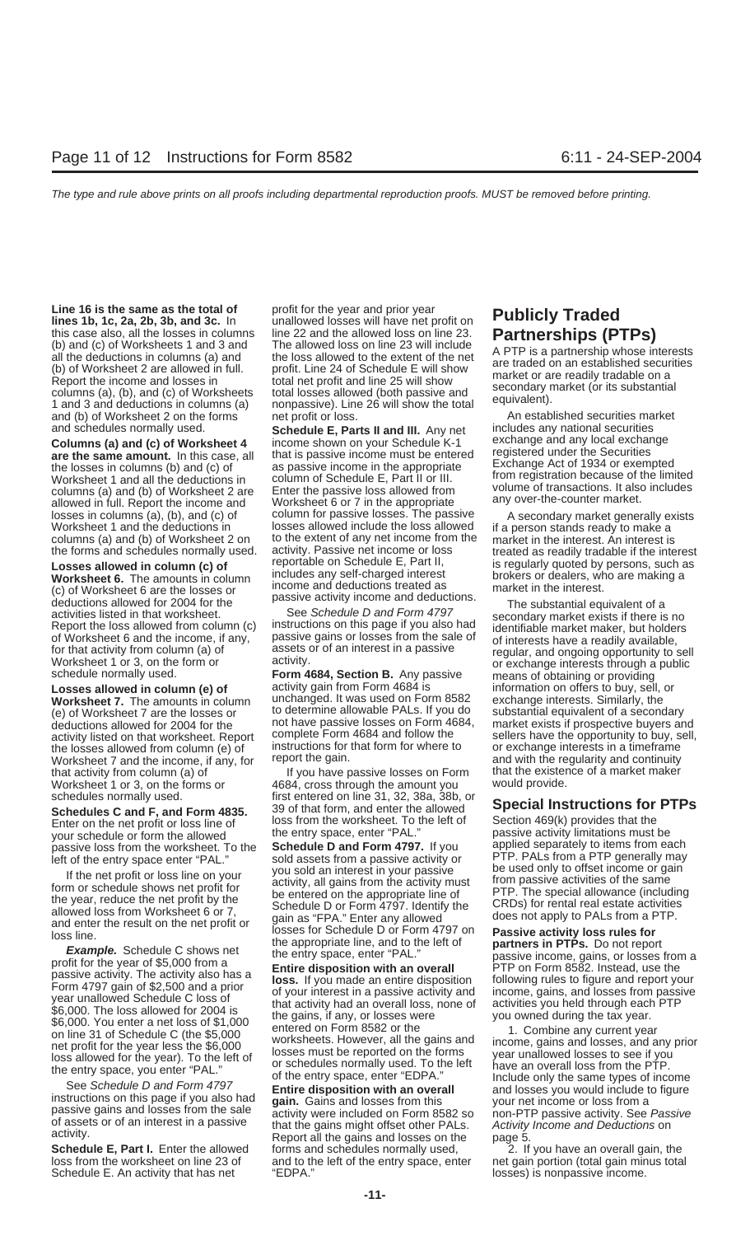**Line 16 is the same as the total of** profit for the year and prior year Line 16 is the same as the total of profit for the year and prior year<br>lines 1b, 1c, 2a, 2b, 3b, and 3c. In unallowed losses will have net profit on **Publicly Traded**<br>this case also, all the losses in columns line 22 and t this case also, all the losses in columns line 22 and the allowed loss on line 23.<br>
(b) and (c) of Worksheets 1 and 3 and The allowed loss on line 23 will include<br>
all the deductions in columns (a) and the loss allowed to and (b) of Worksheet 2 on the forms net profit or loss. An established securities market

columns (a) and (b) of Worksheet 2 on to the extent of any net income from the forms and schedules normally used. activity. Passive net income or loss

**Exercise to the countries of the control includes** any self-charged interest<br>
(c) of Worksheet 6. The amounts in column<br>
deductions allowed for 2004 for the<br>
activities listed in that worksheet.<br>
Report the loss allowed f

**Worksheet 7.** The amounts in column unchanged. It was used on Form 8582 exchange interests. Similarly, the vertil<br>(e) of Worksheet 7 are the losses or boldetermine allowable PALs. If you do substantial equivalent of a sec (e) of Worksheet 7 are the losses or to determine allowable PALs. If you do substantial equivalent of a secondary<br>deductions allowed for 2004 for the not have passive losses on Form 4684, market exists if prospective buyer deductions allowed for 2004 for the not have passive losses on Form 4684, activity listed on that worksheet Report complete Form 4684 and follow the the losses allowed from column (e) of instructions for that form for where to or exchange interests in a timeframe<br>Worksheet 7 and the income, if any, for report the gain. Worksheet 7 and the income, if any, for Worksheet 1 or 3, on the forms or 4684, cross through the amount you

Enter on the net profit or loss line of loss from the worksheet. To the left of Section 469(k) provides that the<br>Vour schedule or form the allowed the entry space, enter "PAL." passive activity limitations must be your schedule or form the allowed<br>passive loss from the worksheet. To the **Schedule D and Form 4797.** If you applied separately to items from each<br>left of the entry space enter "PAL "sold assets from a passive activity or

The net profit or loss line on your sold an interest in your passive the used only to offset income or gain<br>the year, reduce the net profit or schedule shows net profit or a check the sentered on the appropriate line of<br>th

Schedule E. An activity that has net "EDPA." losses) is nonpassive income.

and schedules normally used.<br> **Schedule E, Parts II and III.** Any net includes any national securities<br> **Columns (a) and (c) of Worksheet 4** income shown on your Schedule K-1 exchange and any local exchange **Columns (a) and (c) of Worksheet 4** income shown on your Schedule K-1 exchange and any local exchange **are the same amount.** In this case, all that is passive income must be entered registered under the Securities the los the losses in columns (b) and (c) of as passive income in the appropriate the Exchange Act of 1934 or exempted<br>Morkshoot 1 and all the doductions in column of Schedule E. Part II or III from registration because of the lim Worksheet 1 and all the deductions in column of Schedule E, Part II or III. The registration because of the limited<br>columns (a) and (b) of Worksheet 2 are Enter the passive loss allowed from volume of transactions. It also columns (a) and (b) of Worksheet 2 are Enter the passive loss allowed from volume of transactions. It also allowed in full. Report the income and Worksheet 6 or 7 in the appropriate any over-the-counter market. losses in columns (a), (b), and (c) of column for passive losses. The passive A secondary market generally exists<br>Worksheet 1 and the deductions in losses allowed include the loss allowed if a person stands ready to make a losses allowed include the loss allowed if a person stands ready to make a<br>to the extent of any net income from the market in the interest. An interest is the forms and schedules normally used. activity. Passive net income or loss treated as readily tradable if the interest<br> **Losses allowed in column (c) of** reportable on Schedule E, Part II, is regularly quoted by persons,

**Losses allowed in column (e) of Form 4684, Section B.** Any passive means of obtaining or providing<br> **Losses allowed in column (e) of** activity gain from Form 4684 is information on offers to buy, sell, or<br> **Worksheet 7.** 

that activity from column (a) of The If you have passive losses on Form that the existence of a market maker<br>Worksheet 1 or 3, on the forms or The 4684, cross through the amount you would provide. schedules normally used. first entered on line 31, 32, 38a, 38b, or<br>Schedules C and E and Form 4835 39 of that form, and enter the allowed Schedules C and F, and Form 4835. <sup>39</sup> of that form, and enter the allowed **Special Instructions for PTPs**<br>
Enter on the net profit or loss line of loss from the worksheet. To the left of Section 469(k) provides that the

ieft of the entry space enter "PAL." sold assets from a passive activity or PTP. PALs from a PTP generally may<br>If the not profit or legaling on your you sold an interest in your passive be used only to offset income or gai

**Schedule E, Part I.** Enter the allowed forms and schedules normally used, <br>loss from the worksheet on line 23 of and to the left of the entry space, enter net gain portion (total gain minus tota and to the left of the entry space, enter net gain portion (total gain minus total

activity listed on that worksheet. Report complete Form 4684 and follow the sellers have the opportunity to buy, sell,<br>the losses allowed from column (e) of instructions for that form for where to or exchange interests in